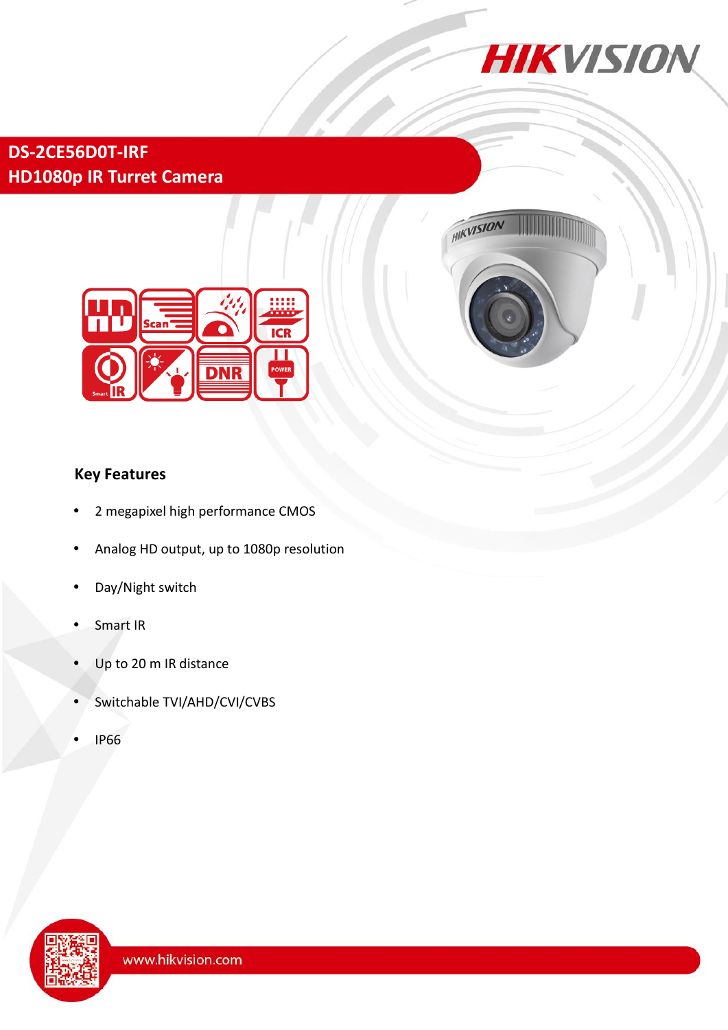

# **DS-2CE56D0T-IRF HD1080p IR Turret Camera**





# **Key Features**

- 2 megapixel high performance CMOS
- Analog HD output, up to 1080p resolution
- Day/Night switch
- Smart IR
- Up to 20 m IR distance
- Switchable TVI/AHD/CVI/CVBS
- IP66

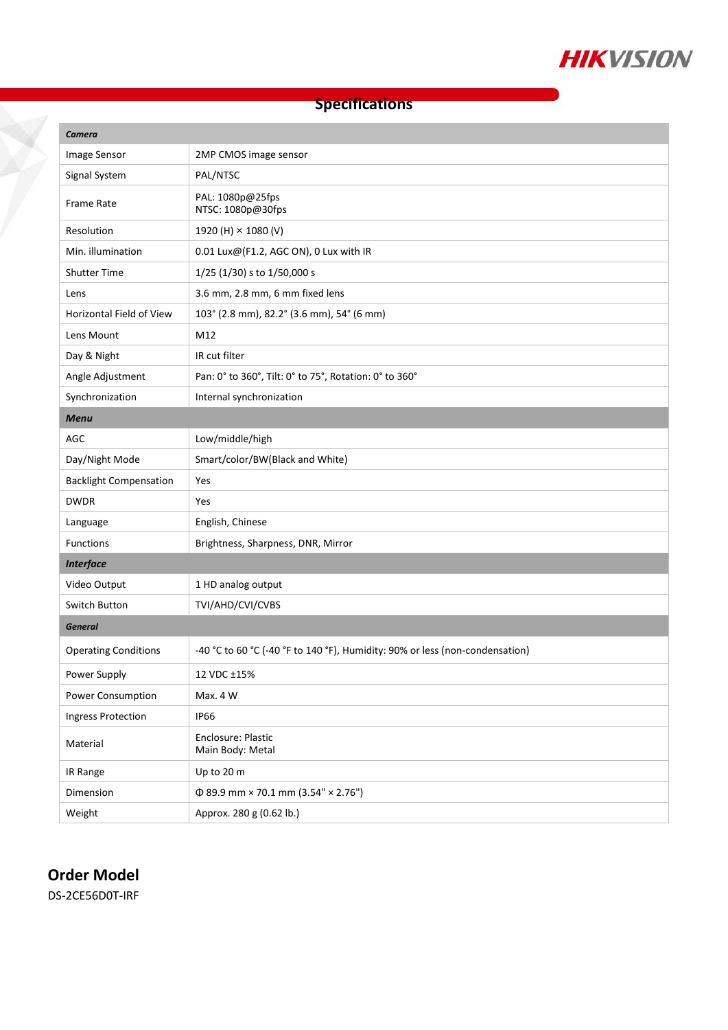

## **Specifications**

| <b>Camera</b>                 |                                                                              |
|-------------------------------|------------------------------------------------------------------------------|
| Image Sensor                  | 2MP CMOS image sensor                                                        |
| Signal System                 | PAL/NTSC                                                                     |
| <b>Frame Rate</b>             | PAL: 1080p@25fps<br>NTSC: 1080p@30fps                                        |
| Resolution                    | 1920 (H) × 1080 (V)                                                          |
| Min. illumination             | 0.01 Lux@(F1.2, AGC ON), 0 Lux with IR                                       |
| <b>Shutter Time</b>           | 1/25 (1/30) s to 1/50,000 s                                                  |
| Lens                          | 3.6 mm, 2.8 mm, 6 mm fixed lens                                              |
| Horizontal Field of View      | 103° (2.8 mm), 82.2° (3.6 mm), 54° (6 mm)                                    |
| Lens Mount                    | M12                                                                          |
| Day & Night                   | IR cut filter                                                                |
| Angle Adjustment              | Pan: 0° to 360°, Tilt: 0° to 75°, Rotation: 0° to 360°                       |
| Synchronization               | Internal synchronization                                                     |
| <b>Menu</b>                   |                                                                              |
| AGC                           | Low/middle/high                                                              |
| Day/Night Mode                | Smart/color/BW(Black and White)                                              |
| <b>Backlight Compensation</b> | Yes                                                                          |
| <b>DWDR</b>                   | Yes                                                                          |
| Language                      | English, Chinese                                                             |
| <b>Functions</b>              | Brightness, Sharpness, DNR, Mirror                                           |
| <b>Interface</b>              |                                                                              |
| Video Output                  | 1 HD analog output                                                           |
| Switch Button                 | TVI/AHD/CVI/CVBS                                                             |
| <b>General</b>                |                                                                              |
| <b>Operating Conditions</b>   | -40 °C to 60 °C (-40 °F to 140 °F), Humidity: 90% or less (non-condensation) |
| Power Supply                  | 12 VDC ±15%                                                                  |
| Power Consumption             | Max. 4 W                                                                     |
| <b>Ingress Protection</b>     | <b>IP66</b>                                                                  |
| Material                      | Enclosure: Plastic<br>Main Body: Metal                                       |
| IR Range                      | Up to 20 m                                                                   |
| Dimension                     | $\Phi$ 89.9 mm × 70.1 mm (3.54" × 2.76")                                     |
| Weight                        | Approx. 280 g (0.62 lb.)                                                     |

### **Order Model**

Ž

DS-2CE56D0T-IRF